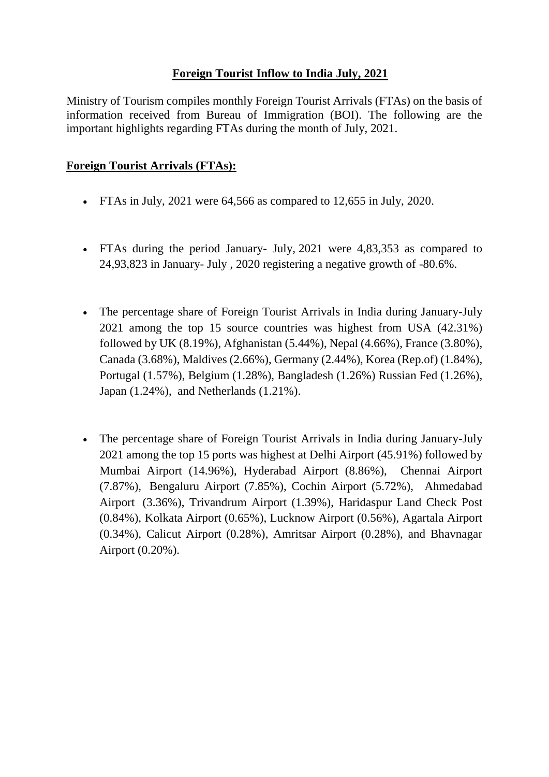## **Foreign Tourist Inflow to India July, 2021**

Ministry of Tourism compiles monthly Foreign Tourist Arrivals (FTAs) on the basis of information received from Bureau of Immigration (BOI). The following are the important highlights regarding FTAs during the month of July, 2021.

## **Foreign Tourist Arrivals (FTAs):**

- FTAs in July,  $2021$  were 64,566 as compared to 12,655 in July,  $2020$ .
- FTAs during the period January- July, 2021 were 4,83,353 as compared to 24,93,823 in January- July , 2020 registering a negative growth of -80.6%.
- The percentage share of Foreign Tourist Arrivals in India during January-July 2021 among the top 15 source countries was highest from USA (42.31%) followed by UK (8.19%), Afghanistan (5.44%), Nepal (4.66%), France (3.80%), Canada (3.68%), Maldives (2.66%), Germany (2.44%), Korea (Rep.of) (1.84%), Portugal (1.57%), Belgium (1.28%), Bangladesh (1.26%) Russian Fed (1.26%), Japan (1.24%), and Netherlands (1.21%).
- The percentage share of Foreign Tourist Arrivals in India during January-July 2021 among the top 15 ports was highest at Delhi Airport (45.91%) followed by Mumbai Airport (14.96%), Hyderabad Airport (8.86%), Chennai Airport (7.87%), Bengaluru Airport (7.85%), Cochin Airport (5.72%), Ahmedabad Airport (3.36%), Trivandrum Airport (1.39%), Haridaspur Land Check Post (0.84%), Kolkata Airport (0.65%), Lucknow Airport (0.56%), Agartala Airport (0.34%), Calicut Airport (0.28%), Amritsar Airport (0.28%), and Bhavnagar Airport (0.20%).